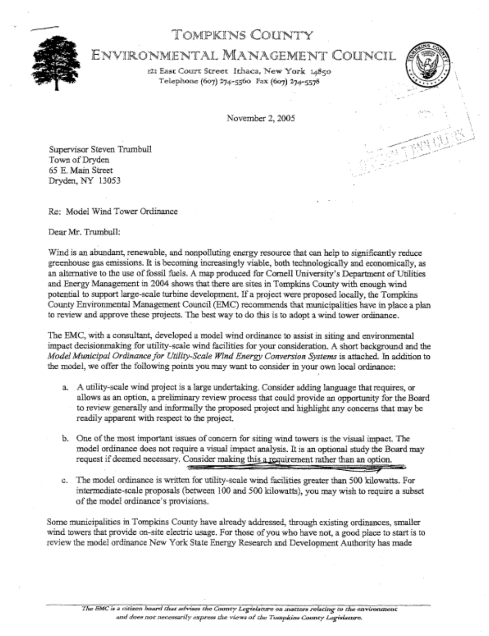## TOMPKINS COUNTY



# ENVIRONMENTAL MANAGEMENT COUNCIL

121 East Court Street Ithaca, New York 14850 Telephone (607) 274-5560 Fax (607) 274-5578



--

November 2, 2005

Supervisor Steven Trumbull Town of Dryden *65* E. Main Streef Dryden,NY 13053

Re: Model Wind Tower Ordinance

Dear **Mr.** Tnunbull:

Wind is an abundant, renewable, and nonpolluting energy resource that can help to significantly reduce greenhouse gas emissions. It is becoming increasingly viable, both technologically and economically, as an alternative to the use of fossil fuels. **A** map produced for Cornell University's Department of Utilities and Energy Management in 2004 shows that there are sites in Tompkins *County* with enough wind potential to support large-scale turbine development. If a project were proposed locally, the Tompkins County Environmental Management Council (EMC) recommends that municipalities have in place a **plan**  to review and approve these projects. The best way to do this is to adopt a wind tower ordinance.

The EMC, with a consultant, developed a model wind ordinance to assist in siting and environmental impact decisionmaking for utility-scale wind facilities for your consideration. **A** short background and the *Model Municipal Ordinance fop. Utiliiy-Scale Wind Energy Conversion System* is attached. In addition to the model, we offer the following points you may want to consider in your own local ordinance:

- a. **A** utility-scale wind project is a large undertaking. Consider adding language that requires, **ox**  allows as an option, a preliminary review process that could provide an opportunity for the Board to review generally and informally the proposed project and highlight any concerns that may be readily apparent with respect to the project.
- b. One of the most important issues of concern for siting wind towers is the visual impact. The model ordinance does not require a visual impact analysis. It is an optional study the Board **may**  request if deemed necessary. Consider making this a requirement rather than an option.
- c. The model ordinance is Written for utility-scale wind facilities greater than 500 kilowatts. Far intermediate-scale proposals (between 100 and *500* kilowatts), you may wish to require a subset of the model ordinance's provisions.

Some municipalities in Tompkins County have already addressed, through existing ordinances, smaller wind towers that provide on-site electric usage. For those of you who have not, a good place to *start* is to review the model ordinance New York State Energy Research and Development Authority **has** made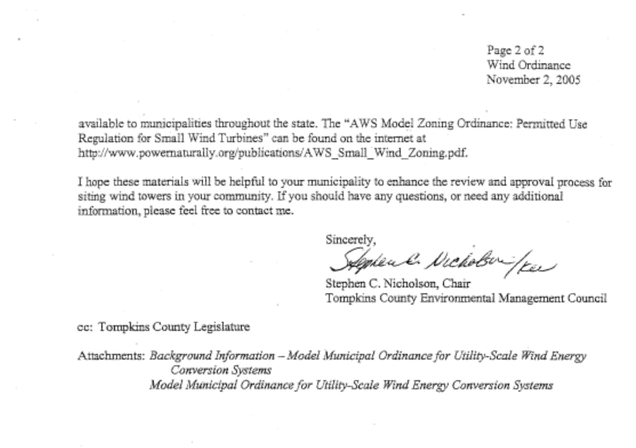Page 2 of 2 Wind Ordinance November 2, 2005

available to municipalities throughout the state. The "AWS Model Zoning Ordinance: Permitted Use Regulation for Small Wind Turbines" can be found on the internet at http://www.powernaturally.org/publications/AWS\_Small\_Wind\_Zoning.pdf.

I hope these materials will be helpful to your municipality to enhance the review and approval process for siting wind towers in your community. If you should have any questions, or need any additional information, please feel free to contact me.

Sincerely,

Septem & Nicholson / Kee

Stephen C. Nicholson, Chair Tompkins County Environmental Management Council

*cc:* Tompkins County Legislature

Attachments: *Background Infomation -Model Municipal Ordinance for Utility-Scale Wind Energy Conversion System Model Municipal Ordinance for Utility-Scale Wind Energy Conversion Systems*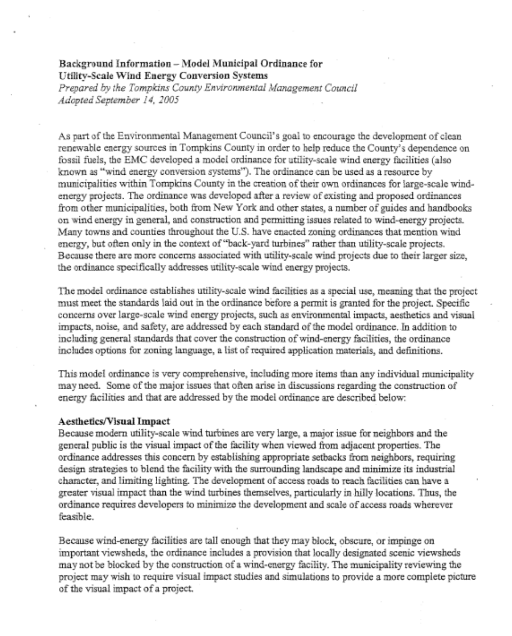## **Background Information** - **Model Municipal Ordinance for Utility-Scale Wind Energy Conversion Systems**

*Prepared by the Tompkins County Environmental Management Council Adopted September 14, 2005* 

As part of the Environmental Management Council's goal to encourage the development of clean renewable energy sources in Tompkins County in order to help reduce the County's dependence on fossil fuels, the EMC developed a model ordinance for utility-scale wind energy facilities (also known as "wind energy conversion systems"). The ordinance can be used as a resource by municipalities within Tornpkins County in the creation of their own ordinances for large-scale windenergy projects. The ordinance was developed after a review of existing and proposed ordinances from other municipalities, both from New York and other states, a number of guides and handbooks on wind energy in general, and construction and permitting issues related to wind-energy projects. Many towns and counties throughout the U.S. have enacted zoning ordinances that mention wind energy, but often only in the context of "back-yard turbines" rather than utility-scale projects. Because there are more concerns associated with utility-scale wind projects due to their larger size, the ordinance specifically addresses utility-scale wind energy projects.

The model ordinance establishes utility-scale wind facilities as a special use, meaning that the project must meet the standards laid out in the ordinance before a pennit is granted for the project. Specific concerns over large-scale wind energy projects, such as environmental impacts, aesthetics and visual impacts, noise, and safety, are addressed by each standard of the model ordinance. In addition to including general standards that cover the construction of wind-energy facilities, the ordinance includes options for zoning language, a list of required application materials, and definitions.

This model ordinance is very comprehensive, including more items than any individual municipality may need. Some of the major issues that ofien arise in discussions regarding the construction of energy facilities and that are addressed by the model ordinance are described below:

#### **AestheticsNisual Impact**

Because modern utility-scale wind turbines are very large, a major issue for neighbors and the general public is the visual impact of the facility when viewed fiom adjacent properties. The ordinance addresses this concern by establishing appropriate setbacks from neighbors, requiring design strategies to blend the facility with the surrounding landscape and minimize its industrial character, and limiting lighting. The development of access roads to reach facilities can have a greater visual impact than the wind turbines themselves, particularly in hilly locations. Thus, the ordinance requires developers to minimize the development and scale of access roads wherever feasible.

Because wind-energy facilities are tall enough that they may block, obscure, or impinge on important viewsheds, the ordinance includes a provision that locally designated scenic viewsheds may not be blocked by the construction of a wind-energy facility. The municipality reviewing the project may wish to require visual impact studies and simulations to provide a more complete picture of the visual impact of a project.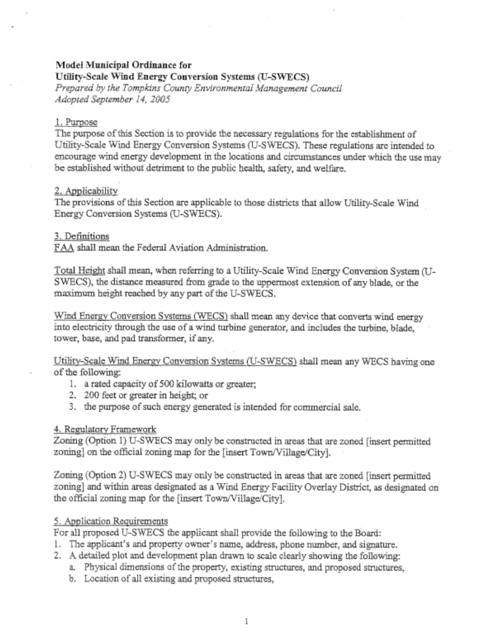## **Model Municipal Ordinance for**

**Utility-Scale Wind Energy Conversion Systems (U-SWECS)** 

*Prepared by the Tornpkns Coung Environmental Management Council Adopted September 14, 2005* 

#### 1. Purpose

The purpose of this Section is to provide the necessary regulations for the establishment of Utility-Scale Wind Energy Conversion Systems (U-SWECS). These regulations are intended to encourage wind energy development *in* the locations and circumstances under which the use may be established without detriment to the public health, safety, and welfare.

## 2. ADplicability

The provisions of this Section are applicable to those districts that allow Utility-Scale Wind Energy Conversion Systems (U-SWECS).

## 3. Definitions

FAA shall mean the Federal Aviation Administration.

Total Height shall mean, when referring to a Utility-Scale Wind Energy Conversion System (U-SWECS), the distance measured from grade to the uppennost extension of any blade, or the maximum height reached by any **part** of the U-SWECS.

Wind Energy Conversion Systems (WECS) shall mean any device that converts wind energy into electricity through the use of a wind turbine generator, and includes the turbine, blade, tower, base, and pad transformer, if any.

Utility-Scale Wind Energy Conversion Systems (U-SWECS) shall mean any WECS having one of the following:

- 1. a rated capacity of 500 kilowatts or greater;
- **2.** 200 feet or greater in height; or
- 3. the purpose of such energy generated is intended for commercial sale.

## **4. Regulatory Framework**

Zoning (Option 1) U-SWECS may only be constructed in areas that are zoned [insert permitted zoning] on the official zoning map for the [insert Town/Village/City].

Zoning (Option 2) U-SWECS may only be constructed in areas that are zoned [insert permitted zoning] and within areas designated as a Wind Energy Facility Overlay District, as designated on the official zoning map for the [insert Town/Village/City].

## *5.* ApDlication Requirements

For all proposed U-SWECS the applicant shall provide the following to the Board:

- 1. The applicant's and property owner's name, address, phone number, and signature.
- 2. A detailed plot and development plan drawn to scale clearly showing the following:
	- a. Physical dimensions of the property, existing structures, and proposed structures,
	- b. Location of all existing and proposed structures,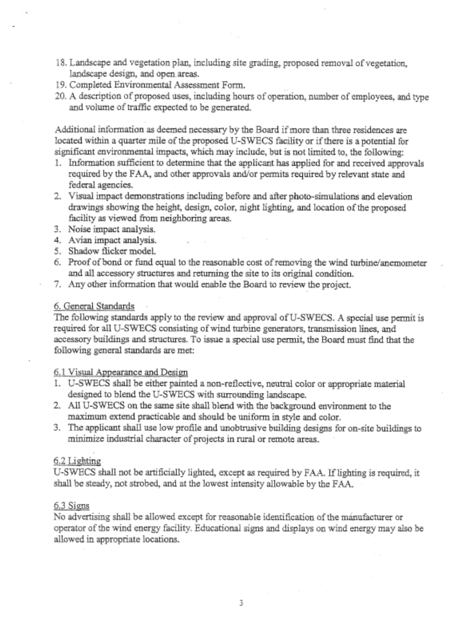- 18. Landscape and vegetation plan, including site grading, proposed removal of vegetation, landscape design, and open. areas.
- 19. Completed Environmental Assessment Form.
- *20.* **A** description of proposed uses, including hours of operation, number of employees, and type and volume of traffic expected to be generated.

Additional information as deemed necessary by the Board if more than three residences are located within a quarter mile of the proposed U-SWECS facility or if there is a potential for significant environmental impacts, which may include, but is not limited to, the following:

- 1. Infomation sufficient to determine that the applicant has applied for and received approvals required by the FAA, and other approvals and/or permits required by relevant state and federal agencies.
- 2. Visual impact demonstrations including before and after photo-simulations and elevation drawings showing the height, design, color, night lighting, and location of the proposed facility as viewed from neighboring areas.
- 3. Noise impact analysis.
- **4.**  Avian impact analysis.
- *5.*  Shadow flicker model.
- 6. Proof of bond or fund equal to the reasonable cost of removing the wind turbine/anemometer and all accessory structures and returning the site to its original condition.
- 7. Any other information that would enable the Board to review the project.

## 6. General Standards

The following standards apply to the review and approval of U-SWECS. A special use pennit is required for all U-SWECS consisting of wind turbine generators, transmission lines, and accessory buildings and structures. To issue a special use permit, the Board must find that the following general standards are met:

## 6.1 Visual Appearance and Design

- I. U-SWECS shall be either painted a non-reflective, neutral color or appropriate material designed *to* blend the U-SWECS with surrounding landscape.
- 2. **All** U-SWECS on the same site shall blend with the background environment to the maximum extend practicable and should be uniform in style and color.
- 3. The applicant shall use low profile and unobtrusive building designs for on-site buildings to minimize industrial character of projects in rural or remote areas.

## 6.2 Lighting

U-SWECS shall not be artificially lighted, except as required by FAA. If lighting is required, it shall be steady, not strobed, and at the lowest intensity allowable by the FAA.

## 6.3 Signs

No advertising shall be allowed except for reasonable identification of the manufacturer or operator of the wind energy facility. Educational signs and displays on wind energy may also be allowed in appropriate locations.